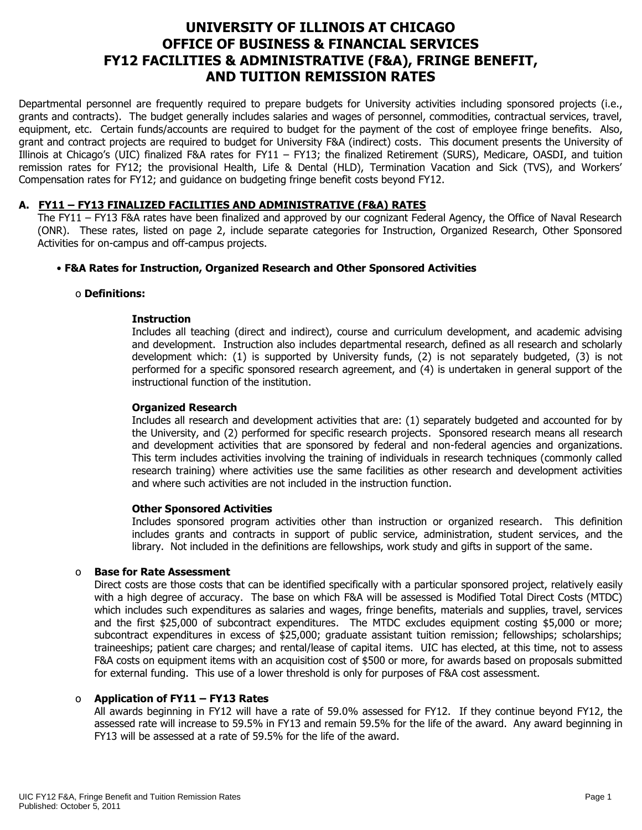# **UNIVERSITY OF ILLINOIS AT CHICAGO OFFICE OF BUSINESS & FINANCIAL SERVICES FY12 FACILITIES & ADMINISTRATIVE (F&A), FRINGE BENEFIT, AND TUITION REMISSION RATES**

Departmental personnel are frequently required to prepare budgets for University activities including sponsored projects (i.e., grants and contracts). The budget generally includes salaries and wages of personnel, commodities, contractual services, travel, equipment, etc. Certain funds/accounts are required to budget for the payment of the cost of employee fringe benefits. Also, grant and contract projects are required to budget for University F&A (indirect) costs. This document presents the University of Illinois at Chicago's (UIC) finalized F&A rates for FY11 – FY13; the finalized Retirement (SURS), Medicare, OASDI, and tuition remission rates for FY12; the provisional Health, Life & Dental (HLD), Termination Vacation and Sick (TVS), and Workers' Compensation rates for FY12; and guidance on budgeting fringe benefit costs beyond FY12.

## **A. FY11 – FY13 FINALIZED FACILITIES AND ADMINISTRATIVE (F&A) RATES**

The FY11 – FY13 F&A rates have been finalized and approved by our cognizant Federal Agency, the Office of Naval Research (ONR). These rates, listed on page 2, include separate categories for Instruction, Organized Research, Other Sponsored Activities for on-campus and off-campus projects.

# • **F&A Rates for Instruction, Organized Research and Other Sponsored Activities**

#### o **Definitions:**

## **Instruction**

Includes all teaching (direct and indirect), course and curriculum development, and academic advising and development. Instruction also includes departmental research, defined as all research and scholarly development which: (1) is supported by University funds, (2) is not separately budgeted, (3) is not performed for a specific sponsored research agreement, and (4) is undertaken in general support of the instructional function of the institution.

#### **Organized Research**

Includes all research and development activities that are: (1) separately budgeted and accounted for by the University, and (2) performed for specific research projects. Sponsored research means all research and development activities that are sponsored by federal and non-federal agencies and organizations. This term includes activities involving the training of individuals in research techniques (commonly called research training) where activities use the same facilities as other research and development activities and where such activities are not included in the instruction function.

#### **Other Sponsored Activities**

Includes sponsored program activities other than instruction or organized research. This definition includes grants and contracts in support of public service, administration, student services, and the library. Not included in the definitions are fellowships, work study and gifts in support of the same.

## o **Base for Rate Assessment**

Direct costs are those costs that can be identified specifically with a particular sponsored project, relatively easily with a high degree of accuracy. The base on which F&A will be assessed is Modified Total Direct Costs (MTDC) which includes such expenditures as salaries and wages, fringe benefits, materials and supplies, travel, services and the first \$25,000 of subcontract expenditures. The MTDC excludes equipment costing \$5,000 or more; subcontract expenditures in excess of \$25,000; graduate assistant tuition remission; fellowships; scholarships; traineeships; patient care charges; and rental/lease of capital items. UIC has elected, at this time, not to assess F&A costs on equipment items with an acquisition cost of \$500 or more, for awards based on proposals submitted for external funding. This use of a lower threshold is only for purposes of F&A cost assessment.

## o **Application of FY11 – FY13 Rates**

All awards beginning in FY12 will have a rate of 59.0% assessed for FY12. If they continue beyond FY12, the assessed rate will increase to 59.5% in FY13 and remain 59.5% for the life of the award. Any award beginning in FY13 will be assessed at a rate of 59.5% for the life of the award.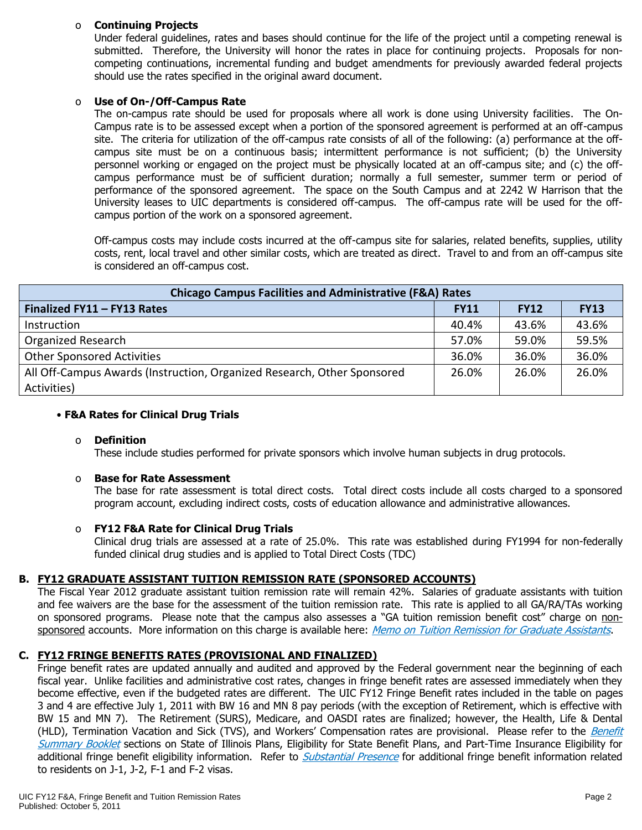## o **Continuing Projects**

Under federal guidelines, rates and bases should continue for the life of the project until a competing renewal is submitted. Therefore, the University will honor the rates in place for continuing projects. Proposals for noncompeting continuations, incremental funding and budget amendments for previously awarded federal projects should use the rates specified in the original award document.

## o **Use of On-/Off-Campus Rate**

The on-campus rate should be used for proposals where all work is done using University facilities. The On-Campus rate is to be assessed except when a portion of the sponsored agreement is performed at an off-campus site. The criteria for utilization of the off-campus rate consists of all of the following: (a) performance at the offcampus site must be on a continuous basis; intermittent performance is not sufficient; (b) the University personnel working or engaged on the project must be physically located at an off-campus site; and (c) the offcampus performance must be of sufficient duration; normally a full semester, summer term or period of performance of the sponsored agreement. The space on the South Campus and at 2242 W Harrison that the University leases to UIC departments is considered off-campus. The off-campus rate will be used for the offcampus portion of the work on a sponsored agreement.

Off-campus costs may include costs incurred at the off-campus site for salaries, related benefits, supplies, utility costs, rent, local travel and other similar costs, which are treated as direct. Travel to and from an off-campus site is considered an off-campus cost.

| <b>Chicago Campus Facilities and Administrative (F&amp;A) Rates</b>     |             |             |             |  |  |  |
|-------------------------------------------------------------------------|-------------|-------------|-------------|--|--|--|
| Finalized FY11 - FY13 Rates                                             | <b>FY11</b> | <b>FY12</b> | <b>FY13</b> |  |  |  |
| Instruction                                                             | 40.4%       | 43.6%       | 43.6%       |  |  |  |
| <b>Organized Research</b>                                               | 57.0%       | 59.0%       | 59.5%       |  |  |  |
| <b>Other Sponsored Activities</b>                                       | 36.0%       | 36.0%       | 36.0%       |  |  |  |
| All Off-Campus Awards (Instruction, Organized Research, Other Sponsored | 26.0%       | 26.0%       | 26.0%       |  |  |  |
| Activities)                                                             |             |             |             |  |  |  |

## • **F&A Rates for Clinical Drug Trials**

#### o **Definition**

These include studies performed for private sponsors which involve human subjects in drug protocols.

## o **Base for Rate Assessment**

The base for rate assessment is total direct costs. Total direct costs include all costs charged to a sponsored program account, excluding indirect costs, costs of education allowance and administrative allowances.

## o **FY12 F&A Rate for Clinical Drug Trials**

Clinical drug trials are assessed at a rate of 25.0%. This rate was established during FY1994 for non-federally funded clinical drug studies and is applied to Total Direct Costs (TDC)

## **B. FY12 GRADUATE ASSISTANT TUITION REMISSION RATE (SPONSORED ACCOUNTS)**

The Fiscal Year 2012 graduate assistant tuition remission rate will remain 42%.Salaries of graduate assistants with tuition and fee waivers are the base for the assessment of the tuition remission rate. This rate is applied to all GA/RA/TAs working on sponsored programs. Please note that the campus also assesses a "GA tuition remission benefit cost" charge on non-sponsored accounts. More information on this charge is available here: [Memo on Tuition Remission for Graduate Assistants](https://www.obfs.uillinois.edu/common/pages/DisplayFile.aspx?itemId=436386).

## **C. FY12 FRINGE BENEFITS RATES (PROVISIONAL AND FINALIZED)**

Fringe benefit rates are updated annually and audited and approved by the Federal government near the beginning of each fiscal year. Unlike facilities and administrative cost rates, changes in fringe benefit rates are assessed immediately when they become effective, even if the budgeted rates are different. The UIC FY12 Fringe Benefit rates included in the table on pages 3 and 4 are effective July 1, 2011 with BW 16 and MN 8 pay periods (with the exception of Retirement, which is effective with BW 15 and MN 7). The Retirement (SURS), Medicare, and OASDI rates are finalized; however, the Health, Life & Dental (HLD), Termination Vacation and Sick (TVS), and Workers' Compensation rates are provisional. Please refer to the Benefit [Summary Booklet](https://nessie.uihr.uillinois.edu/pdf/benefits/benefitsummarybooklet.pdf) sections on State of Illinois Plans, Eligibility for State Benefit Plans, and Part-Time Insurance Eligibility for additional fringe benefit eligibility information. Refer to [Substantial Presence](http://www.uic.edu/com/gme/rpm_comp___benefits.htm#real_substantial_pres) for additional fringe benefit information related to residents on J-1, J-2, F-1 and F-2 visas.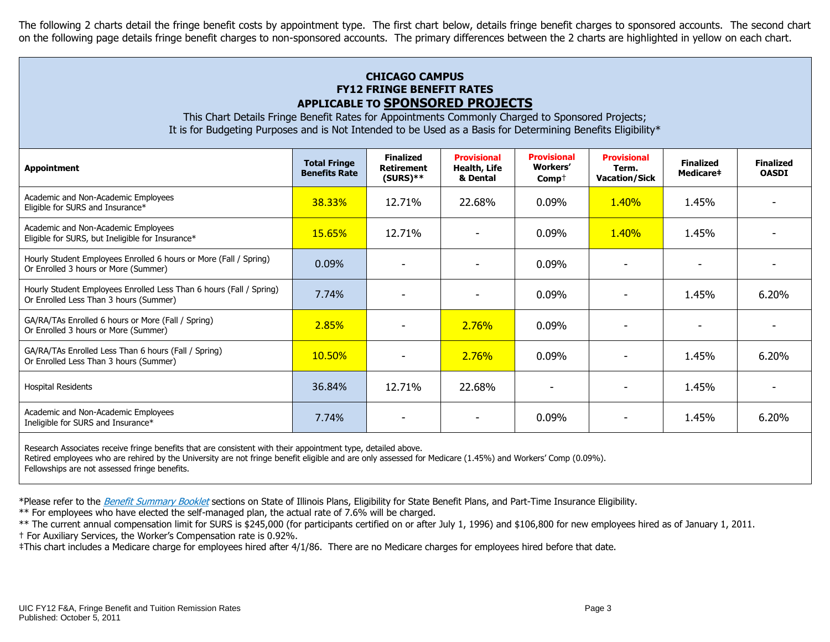The following 2 charts detail the fringe benefit costs by appointment type. The first chart below, details fringe benefit charges to sponsored accounts. The second chart on the following page details fringe benefit charges to non-sponsored accounts. The primary differences between the 2 charts are highlighted in yellow on each chart.

# **CHICAGO CAMPUS FY12 FRINGE BENEFIT RATES APPLICABLE TO SPONSORED PROJECTS**

This Chart Details Fringe Benefit Rates for Appointments Commonly Charged to Sponsored Projects; It is for Budgeting Purposes and is Not Intended to be Used as a Basis for Determining Benefits Eligibility\*

| <b>Appointment</b>                                                                                            | <b>Total Fringe</b><br><b>Benefits Rate</b> | <b>Finalized</b><br>Retirement<br>$(SURS)**$ | <b>Provisional</b><br>Health, Life<br>& Dental | <b>Provisional</b><br><b>Workers'</b><br>$Comp+$ | <b>Provisional</b><br>Term.<br><b>Vacation/Sick</b> | <b>Finalized</b><br>Medicare# | <b>Finalized</b><br><b>OASDI</b> |
|---------------------------------------------------------------------------------------------------------------|---------------------------------------------|----------------------------------------------|------------------------------------------------|--------------------------------------------------|-----------------------------------------------------|-------------------------------|----------------------------------|
| Academic and Non-Academic Employees<br>Eligible for SURS and Insurance*                                       | 38.33%                                      | 12.71%                                       | 22.68%                                         | 0.09%                                            | 1.40%                                               | 1.45%                         |                                  |
| Academic and Non-Academic Employees<br>Eligible for SURS, but Ineligible for Insurance*                       | <b>15.65%</b>                               | 12.71%                                       |                                                | 0.09%                                            | 1.40%                                               | 1.45%                         |                                  |
| Hourly Student Employees Enrolled 6 hours or More (Fall / Spring)<br>Or Enrolled 3 hours or More (Summer)     | 0.09%                                       |                                              |                                                | 0.09%                                            |                                                     |                               |                                  |
| Hourly Student Employees Enrolled Less Than 6 hours (Fall / Spring)<br>Or Enrolled Less Than 3 hours (Summer) | 7.74%                                       |                                              |                                                | 0.09%                                            |                                                     | 1.45%                         | 6.20%                            |
| GA/RA/TAs Enrolled 6 hours or More (Fall / Spring)<br>Or Enrolled 3 hours or More (Summer)                    | 2.85%                                       |                                              | <b>2.76%</b>                                   | 0.09%                                            |                                                     |                               |                                  |
| GA/RA/TAs Enrolled Less Than 6 hours (Fall / Spring)<br>Or Enrolled Less Than 3 hours (Summer)                | 10.50%                                      |                                              | 2.76%                                          | 0.09%                                            |                                                     | 1.45%                         | 6.20%                            |
| <b>Hospital Residents</b>                                                                                     | 36.84%                                      | 12.71%                                       | 22.68%                                         |                                                  |                                                     | 1.45%                         |                                  |
| Academic and Non-Academic Employees<br>Ineligible for SURS and Insurance*                                     | 7.74%                                       |                                              |                                                | 0.09%                                            |                                                     | 1.45%                         | 6.20%                            |
| Research Associates receive fringe benefits that are consistent with their appointment type, detailed above.  |                                             |                                              |                                                |                                                  |                                                     |                               |                                  |

Retired employees who are rehired by the University are not fringe benefit eligible and are only assessed for Medicare (1.45%) and Workers' Comp (0.09%).

Fellowships are not assessed fringe benefits.

\*Please refer to the [Benefit Summary Booklet](https://nessie.uihr.uillinois.edu/pdf/benefits/benefitsummarybooklet.pdf) sections on State of Illinois Plans, Eligibility for State Benefit Plans, and Part-Time Insurance Eligibility.

\*\* For employees who have elected the self-managed plan, the actual rate of 7.6% will be charged.

\*\* The current annual compensation limit for SURS is \$245,000 (for participants certified on or after July 1, 1996) and \$106,800 for new employees hired as of January 1, 2011.

† For Auxiliary Services, the Worker's Compensation rate is 0.92%.

‡This chart includes a Medicare charge for employees hired after 4/1/86. There are no Medicare charges for employees hired before that date.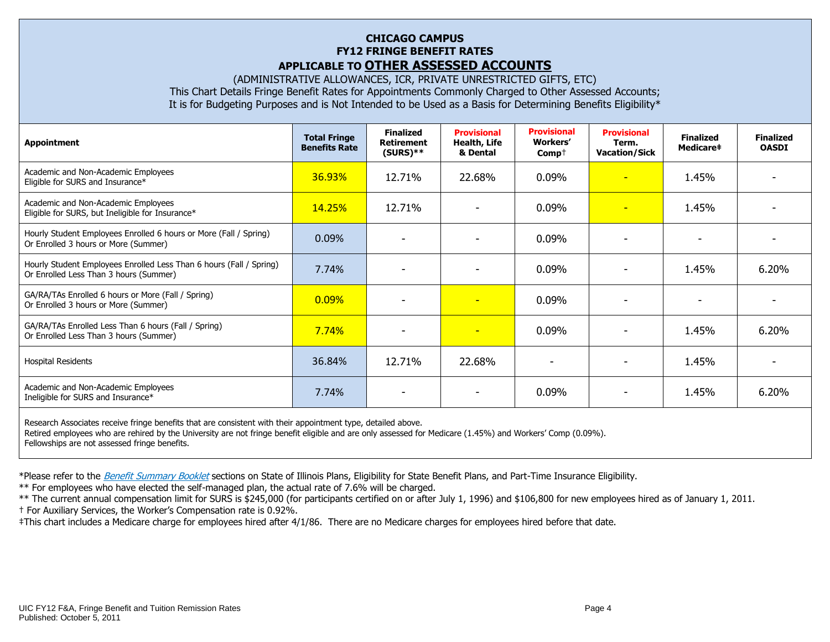## **CHICAGO CAMPUS FY12 FRINGE BENEFIT RATES APPLICABLE TO OTHER ASSESSED ACCOUNTS**

(ADMINISTRATIVE ALLOWANCES, ICR, PRIVATE UNRESTRICTED GIFTS, ETC) This Chart Details Fringe Benefit Rates for Appointments Commonly Charged to Other Assessed Accounts; It is for Budgeting Purposes and is Not Intended to be Used as a Basis for Determining Benefits Eligibility\*

| <b>Appointment</b>                                                                                            | <b>Total Fringe</b><br><b>Benefits Rate</b> | <b>Finalized</b><br><b>Retirement</b><br>$(SURS)**$ | <b>Provisional</b><br><b>Health, Life</b><br>& Dental | <b>Provisional</b><br>Workers'<br>$Comp+$ | <b>Provisional</b><br>Term.<br><b>Vacation/Sick</b> | <b>Finalized</b><br>Medicare‡ | <b>Finalized</b><br><b>OASDI</b> |
|---------------------------------------------------------------------------------------------------------------|---------------------------------------------|-----------------------------------------------------|-------------------------------------------------------|-------------------------------------------|-----------------------------------------------------|-------------------------------|----------------------------------|
| Academic and Non-Academic Employees<br>Eligible for SURS and Insurance*                                       | 36.93%                                      | 12.71%                                              | 22.68%                                                | 0.09%                                     | $\overline{\phantom{0}}$                            | 1.45%                         |                                  |
| Academic and Non-Academic Employees<br>Eligible for SURS, but Ineligible for Insurance*                       | <b>14.25%</b>                               | 12.71%                                              |                                                       | 0.09%                                     | ٠                                                   | 1.45%                         |                                  |
| Hourly Student Employees Enrolled 6 hours or More (Fall / Spring)<br>Or Enrolled 3 hours or More (Summer)     | 0.09%                                       | ۰                                                   | $\overline{\phantom{0}}$                              | 0.09%                                     | $\overline{\phantom{0}}$                            | ۰                             |                                  |
| Hourly Student Employees Enrolled Less Than 6 hours (Fall / Spring)<br>Or Enrolled Less Than 3 hours (Summer) | 7.74%                                       |                                                     |                                                       | 0.09%                                     |                                                     | 1.45%                         | 6.20%                            |
| GA/RA/TAs Enrolled 6 hours or More (Fall / Spring)<br>Or Enrolled 3 hours or More (Summer)                    | 0.09%                                       |                                                     | $\overline{\phantom{0}}$                              | 0.09%                                     |                                                     |                               |                                  |
| GA/RA/TAs Enrolled Less Than 6 hours (Fall / Spring)<br>Or Enrolled Less Than 3 hours (Summer)                | 7.74%                                       | $\overline{\phantom{a}}$                            | $\overline{\phantom{0}}$                              | 0.09%                                     |                                                     | 1.45%                         | 6.20%                            |
| <b>Hospital Residents</b>                                                                                     | 36.84%                                      | 12.71%                                              | 22.68%                                                | $\overline{\phantom{0}}$                  |                                                     | 1.45%                         |                                  |
| Academic and Non-Academic Employees<br>Ineligible for SURS and Insurance*                                     | 7.74%                                       |                                                     |                                                       | 0.09%                                     |                                                     | 1.45%                         | 6.20%                            |
| Research Associates receive fringe benefits that are consistent with their appointment type, detailed above.  |                                             |                                                     |                                                       |                                           |                                                     |                               |                                  |

Retired employees who are rehired by the University are not fringe benefit eligible and are only assessed for Medicare (1.45%) and Workers' Comp (0.09%). Fellowships are not assessed fringe benefits.

\*Please refer to the [Benefit Summary Booklet](https://nessie.uihr.uillinois.edu/pdf/benefits/benefitsummarybooklet.pdf) sections on State of Illinois Plans, Eligibility for State Benefit Plans, and Part-Time Insurance Eligibility.

\*\* For employees who have elected the self-managed plan, the actual rate of 7.6% will be charged.

\*\* The current annual compensation limit for SURS is \$245,000 (for participants certified on or after July 1, 1996) and \$106,800 for new employees hired as of January 1, 2011.

† For Auxiliary Services, the Worker's Compensation rate is 0.92%.

‡This chart includes a Medicare charge for employees hired after 4/1/86. There are no Medicare charges for employees hired before that date.